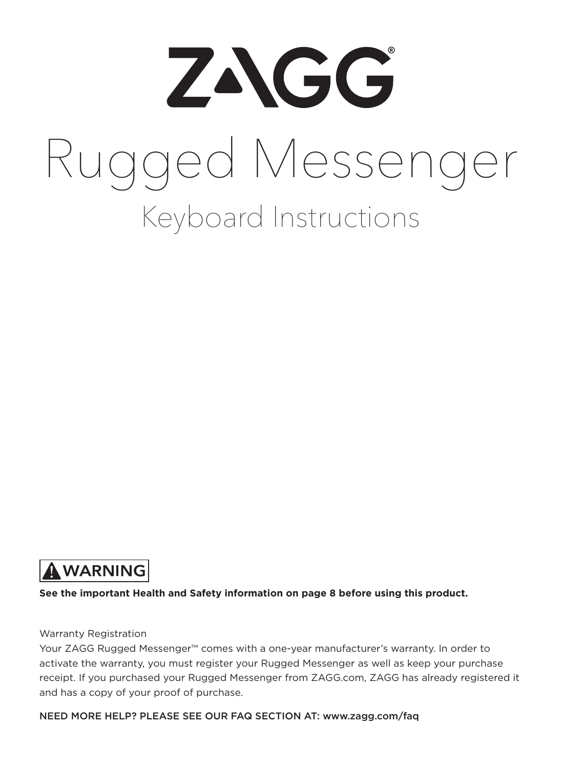

# Keyboard Instructions Rugged Messenger



**See the important Health and Safety information on page 8 before using this product.**

#### Warranty Registration

Your ZAGG Rugged Messenger™ comes with a one-year manufacturer's warranty. In order to activate the warranty, you must register your Rugged Messenger as well as keep your purchase receipt. If you purchased your Rugged Messenger from ZAGG.com, ZAGG has already registered it and has a copy of your proof of purchase.

NEED MORE HELP? PLEASE SEE OUR FAQ SECTION AT: www.zagg.com/faq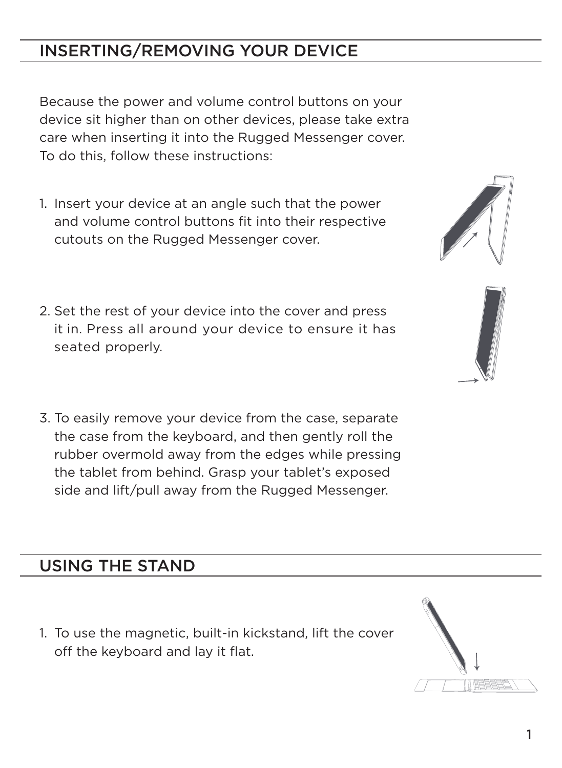# INSERTING/REMOVING YOUR DEVICE

Because the power and volume control buttons on your device sit higher than on other devices, please take extra care when inserting it into the Rugged Messenger cover. To do this, follow these instructions:

- 1. Insert your device at an angle such that the power and volume control buttons fit into their respective cutouts on the Rugged Messenger cover.
- 2. Set the rest of your device into the cover and press it in. Press all around your device to ensure it has seated properly.
- 3. To easily remove your device from the case, separate the case from the keyboard, and then gently roll the rubber overmold away from the edges while pressing the tablet from behind. Grasp your tablet's exposed side and lift/pull away from the Rugged Messenger.

### USING THE STAND

1. To use the magnetic, built-in kickstand, lift the cover off the keyboard and lay it flat.





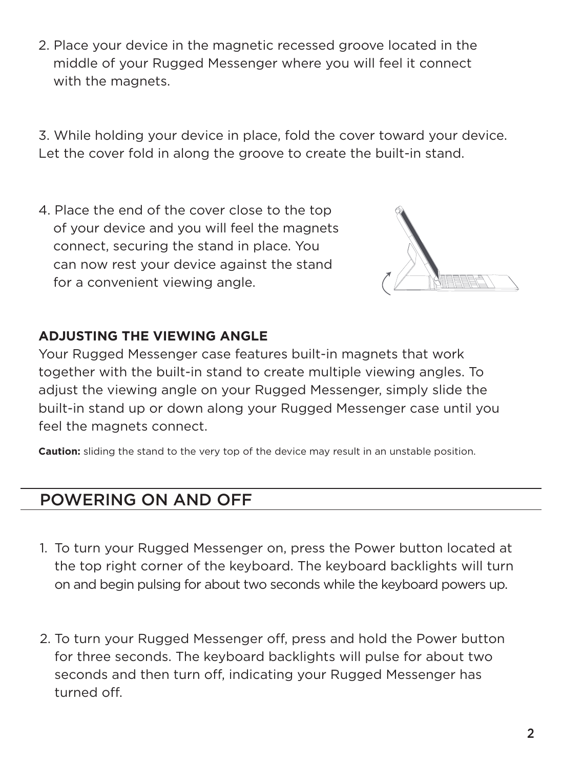2. Place your device in the magnetic recessed groove located in the middle of your Rugged Messenger where you will feel it connect with the magnets.

3. While holding your device in place, fold the cover toward your device. Let the cover fold in along the groove to create the built-in stand.

4. Place the end of the cover close to the top of your device and you will feel the magnets connect, securing the stand in place. You can now rest your device against the stand for a convenient viewing angle.



#### **ADJUSTING THE VIEWING ANGLE**

Your Rugged Messenger case features built-in magnets that work together with the built-in stand to create multiple viewing angles. To adjust the viewing angle on your Rugged Messenger, simply slide the built-in stand up or down along your Rugged Messenger case until you feel the magnets connect.

**Caution:** sliding the stand to the very top of the device may result in an unstable position.

#### POWERING ON AND OFF

- 1. To turn your Rugged Messenger on, press the Power button located at the top right corner of the keyboard. The keyboard backlights will turn on and begin pulsing for about two seconds while the keyboard powers up.
- 2. To turn your Rugged Messenger off, press and hold the Power button for three seconds. The keyboard backlights will pulse for about two seconds and then turn off, indicating your Rugged Messenger has turned off.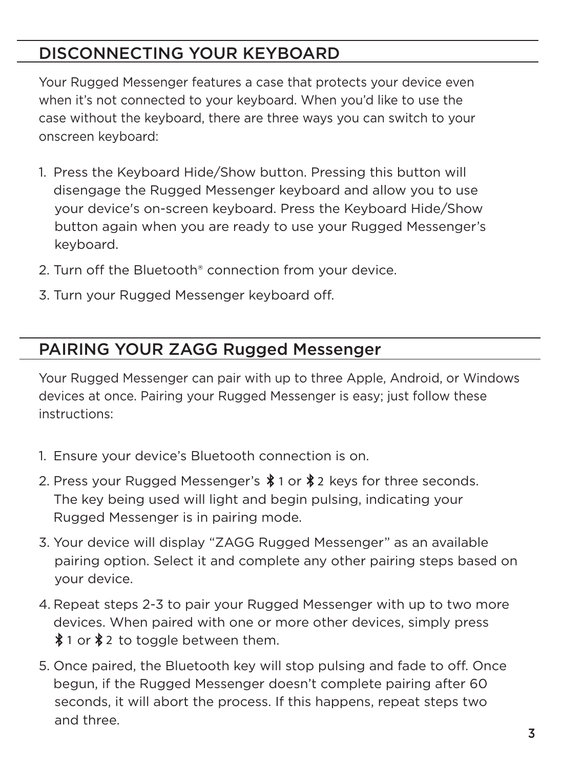# DISCONNECTING YOUR KEYBOARD

Your Rugged Messenger features a case that protects your device even when it's not connected to your keyboard. When you'd like to use the case without the keyboard, there are three ways you can switch to your onscreen keyboard:

- 1. Press the Keyboard Hide/Show button. Pressing this button will disengage the Rugged Messenger keyboard and allow you to use your device's on-screen keyboard. Press the Keyboard Hide/Show button again when you are ready to use your Rugged Messenger's keyboard.
- 2. Turn off the Bluetooth® connection from your device.
- 3. Turn your Rugged Messenger keyboard off.

## PAIRING YOUR ZAGG Rugged Messenger

Your Rugged Messenger can pair with up to three Apple, Android, or Windows devices at once. Pairing your Rugged Messenger is easy; just follow these instructions:

- 1. Ensure your device's Bluetooth connection is on.
- 2. Press your Rugged Messenger's  $\$1$  or  $\$2$  keys for three seconds. The key being used will light and begin pulsing, indicating your Rugged Messenger is in pairing mode.
- 3. Your device will display "ZAGG Rugged Messenger" as an available pairing option. Select it and complete any other pairing steps based on your device.
- 4. Repeat steps 2-3 to pair your Rugged Messenger with up to two more devices. When paired with one or more other devices, simply press  $$1$  or  $$2$  to toggle between them.
- 5. Once paired, the Bluetooth key will stop pulsing and fade to off. Once begun, if the Rugged Messenger doesn't complete pairing after 60 seconds, it will abort the process. If this happens, repeat steps two and three.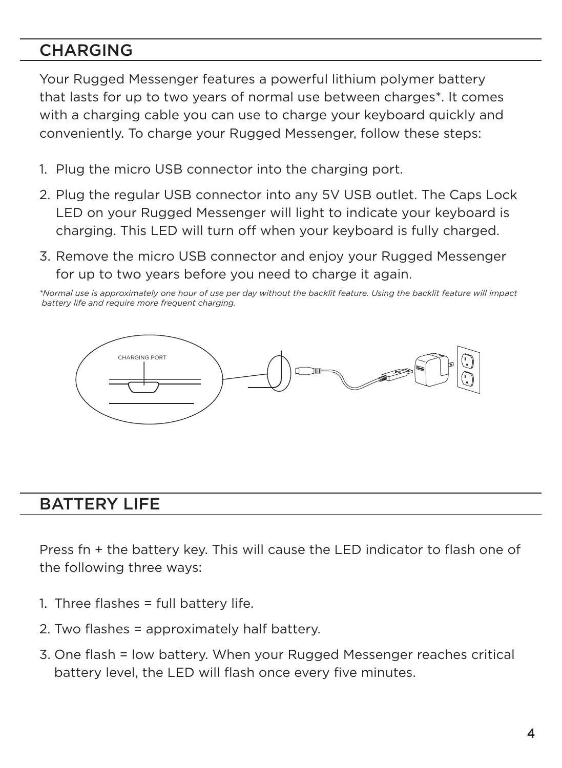## **CHARGING**

Your Rugged Messenger features a powerful lithium polymer battery that lasts for up to two years of normal use between charges\*. It comes with a charging cable you can use to charge your keyboard quickly and conveniently. To charge your Rugged Messenger, follow these steps:

- 1. Plug the micro USB connector into the charging port.
- 2. Plug the regular USB connector into any 5V USB outlet. The Caps Lock LED on your Rugged Messenger will light to indicate your keyboard is charging. This LED will turn off when your keyboard is fully charged.
- 3. Remove the micro USB connector and enjoy your Rugged Messenger for up to two years before you need to charge it again.

*\*Normal use is approximately one hour of use per day without the backlit feature. Using the backlit feature will impact battery life and require more frequent charging.*



#### BATTERY LIFE

Press fn + the battery key. This will cause the LED indicator to flash one of the following three ways:

- 1. Three flashes = full battery life.
- 2. Two flashes = approximately half battery.
- 3. One flash = low battery. When your Rugged Messenger reaches critical battery level, the LED will flash once every five minutes.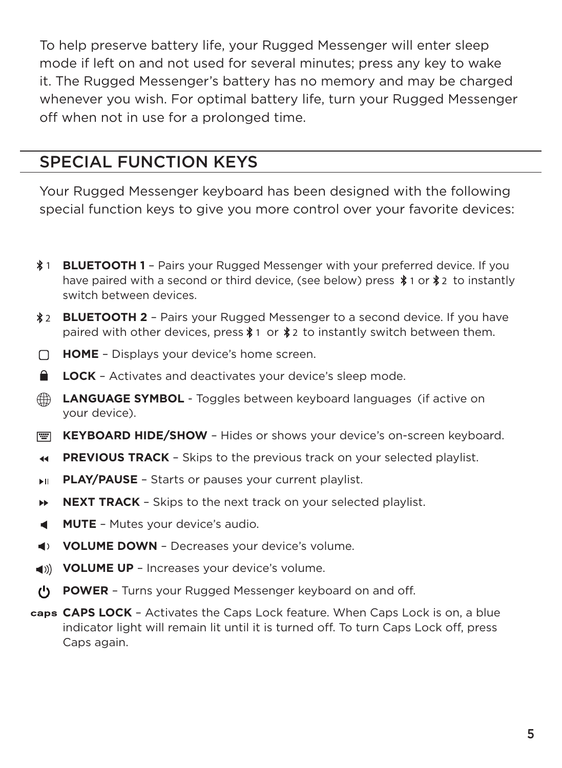To help preserve battery life, your Rugged Messenger will enter sleep mode if left on and not used for several minutes; press any key to wake it. The Rugged Messenger's battery has no memory and may be charged whenever you wish. For optimal battery life, turn your Rugged Messenger off when not in use for a prolonged time.

#### SPECIAL FUNCTION KEYS

Your Rugged Messenger keyboard has been designed with the following special function keys to give you more control over your favorite devices:

- 1 **BLUETOOTH 1** Pairs your Rugged Messenger with your preferred device. If you have paired with a second or third device, (see below) press  $*$  1 or  $*$  to instantly switch between devices.
- **BLUETOOTH 2** Pairs your Rugged Messenger to a second device. If you have 2 paired with other devices, press  $\text{\#}1$  or  $\text{\#}2$  to instantly switch between them.
- **HOME** Displays your device's home screen.  $\Box$
- $\bullet$ **LOCK** – Activates and deactivates your device's sleep mode.
- ⊕ **LANGUAGE SYMBOL** - Toggles between keyboard languages (if active on your device).
- **KEYBOARD HIDE/SHOW** Hides or shows your device's on-screen keyboard.
- **PREVIOUS TRACK Skips to the previous track on your selected playlist.**  $\blacktriangleleft$
- **PLAY/PAUSE** Starts or pauses your current playlist. EH.
- ы **NEXT TRACK** – Skips to the next track on your selected playlist.
- **MUTE**  Mutes your device's audio. ۰
- **VOLUME DOWN** Decreases your device's volume.
- **4)** VOLUME UP Increases your device's volume.
- **POWER**  Turns your Rugged Messenger keyboard on and off.
- **CAPS LOCK**  Activates the Caps Lock feature. When Caps Lock is on, a blue indicator light will remain lit until it is turned off. To turn Caps Lock off, press Caps again.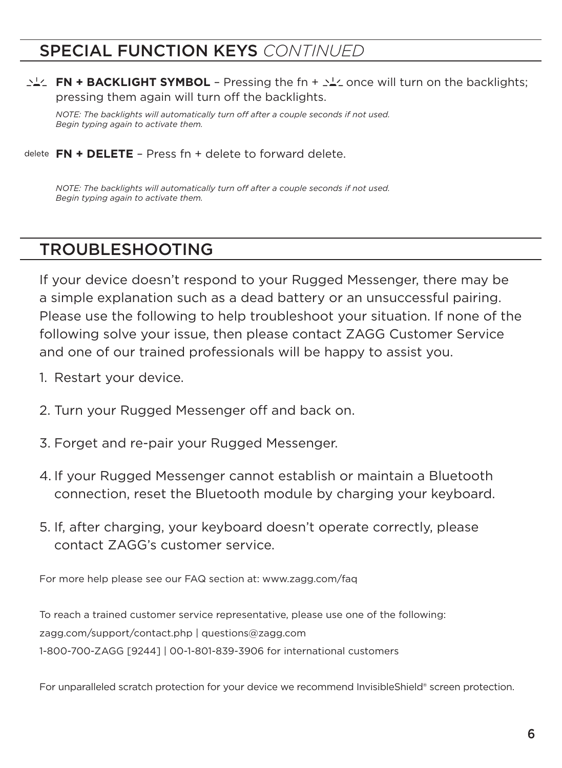#### SPECIAL FUNCTION KEYS *CONTINUED*

**FN + BACKLIGHT SYMBOL** – Pressing the fn +  $\sum_{i=1}^{N}$  once will turn on the backlights; pressing them again will turn off the backlights.

*NOTE: The backlights will automatically turn off after a couple seconds if not used. Begin typing again to activate them.* 

**FN + DELETE** – Press fn + delete to forward delete.

*NOTE: The backlights will automatically turn off after a couple seconds if not used. Begin typing again to activate them.* 

#### TROUBLESHOOTING

If your device doesn't respond to your Rugged Messenger, there may be a simple explanation such as a dead battery or an unsuccessful pairing. Please use the following to help troubleshoot your situation. If none of the following solve your issue, then please contact ZAGG Customer Service and one of our trained professionals will be happy to assist you.

- 1. Restart your device.
- 2. Turn your Rugged Messenger off and back on.
- 3. Forget and re-pair your Rugged Messenger.
- 4. If your Rugged Messenger cannot establish or maintain a Bluetooth connection, reset the Bluetooth module by charging your keyboard.
- 5. If, after charging, your keyboard doesn't operate correctly, please contact ZAGG's customer service.

For more help please see our FAQ section at: www.zagg.com/faq

To reach a trained customer service representative, please use one of the following: zagg.com/support/contact.php | questions@zagg.com 1-800-700-ZAGG [9244] | 00-1-801-839-3906 for international customers

For unparalleled scratch protection for your device we recommend InvisibleShield® screen protection.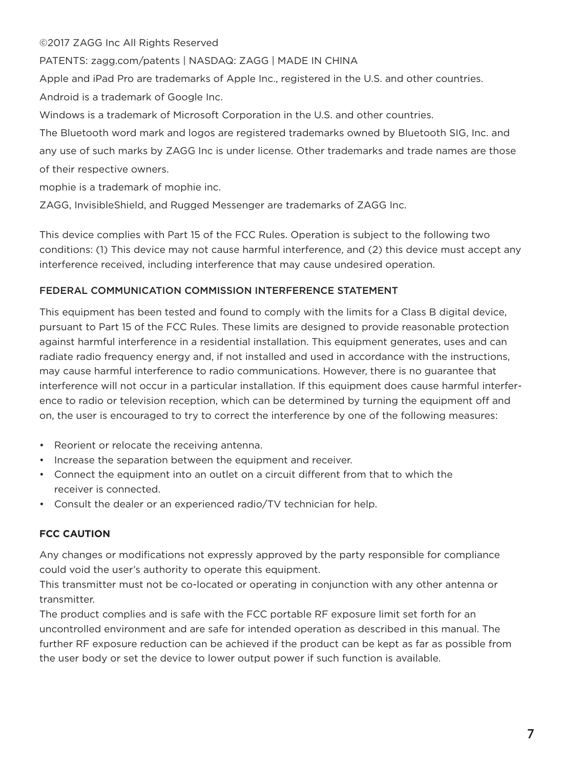©2017 ZAGG Inc All Rights Reserved

PATENTS: zagg.com/patents | NASDAQ: ZAGG | MADE IN CHINA

Apple and iPad Pro are trademarks of Apple Inc., registered in the U.S. and other countries. Android is a trademark of Google Inc.

Windows is a trademark of Microsoft Corporation in the U.S. and other countries.

The Bluetooth word mark and logos are registered trademarks owned by Bluetooth SIG, Inc. and any use of such marks by ZAGG Inc is under license. Other trademarks and trade names are those of their respective owners.

mophie is a trademark of mophie inc.

ZAGG, InvisibleShield, and Rugged Messenger are trademarks of ZAGG Inc.

This device complies with Part 15 of the FCC Rules. Operation is subject to the following two conditions: (1) This device may not cause harmful interference, and (2) this device must accept any interference received, including interference that may cause undesired operation.

#### FEDERAL COMMUNICATION COMMISSION INTERFERENCE STATEMENT

This equipment has been tested and found to comply with the limits for a Class B digital device, pursuant to Part 15 of the FCC Rules. These limits are designed to provide reasonable protection against harmful interference in a residential installation. This equipment generates, uses and can radiate radio frequency energy and, if not installed and used in accordance with the instructions, may cause harmful interference to radio communications. However, there is no guarantee that interference will not occur in a particular installation. If this equipment does cause harmful interference to radio or television reception, which can be determined by turning the equipment off and on, the user is encouraged to try to correct the interference by one of the following measures:

- Reorient or relocate the receiving antenna.
- Increase the separation between the equipment and receiver.
- Connect the equipment into an outlet on a circuit different from that to which the receiver is connected.
- Consult the dealer or an experienced radio/TV technician for help.

#### **FCC CAUTION**

Any changes or modifications not expressly approved by the party responsible for compliance could void the user's authority to operate this equipment.

This transmitter must not be co-located or operating in conjunction with any other antenna or transmitter.

The product complies and is safe with the FCC portable RF exposure limit set forth for an uncontrolled environment and are safe for intended operation as described in this manual. The further RF exposure reduction can be achieved if the product can be kept as far as possible from the user body or set the device to lower output power if such function is available.